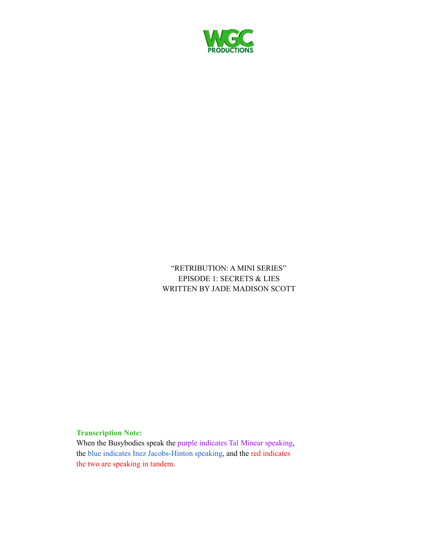

## "RETRIBUTION: A MINI SERIES" EPISODE 1: SECRETS & LIES WRITTEN BY JADE MADISON SCOTT

## **Transcription Note:**

When the Busybodies speak the purple indicates Tal Minear speaking, the blue indicates Inez Jacobs-Hinton speaking, and the red indicates the two are speaking in tandem.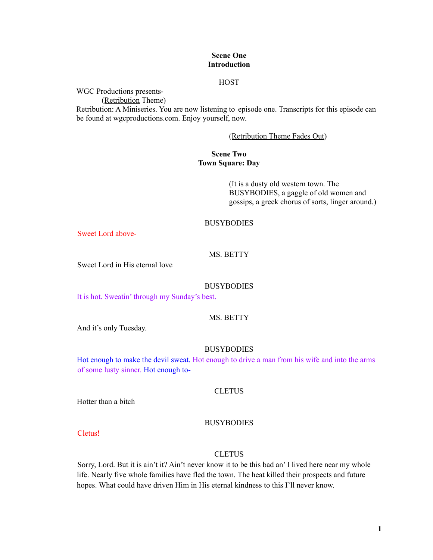## **Scene One Introduction**

## **HOST**

WGC Productions presents-

(Retribution Theme)

Retribution: A Miniseries. You are now listening to episode one. Transcripts for this episode can be found at wgcproductions.com. Enjoy yourself, now.

## (Retribution Theme Fades Out)

## **Scene Two Town Square: Day**

(It is a dusty old western town. The BUSYBODIES, a gaggle of old women and gossips, a greek chorus of sorts, linger around.)

## **BUSYBODIES**

Sweet Lord above-

## MS. BETTY

Sweet Lord in His eternal love

#### **BUSYBODIES**

It is hot. Sweatin' through my Sunday's best.

## MS. BETTY

And it's only Tuesday.

#### **BUSYBODIES**

Hot enough to make the devil sweat. Hot enough to drive a man from his wife and into the arms of some lusty sinner. Hot enough to-

## **CLETUS**

Hotter than a bitch

#### BUSYBODIES

Cletus!

#### **CLETUS**

Sorry, Lord. But it is ain't it? Ain't never know it to be this bad an' I lived here near my whole life. Nearly five whole families have fled the town. The heat killed their prospects and future hopes. What could have driven Him in His eternal kindness to this I'll never know.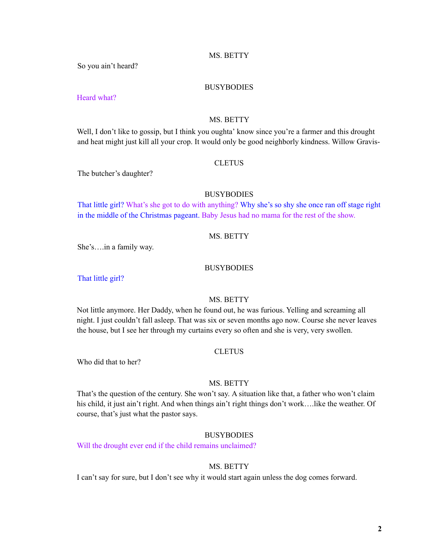## MS. BETTY

So you ain't heard?

#### BUSYBODIES

Heard what?

#### MS. BETTY

Well, I don't like to gossip, but I think you oughta' know since you're a farmer and this drought and heat might just kill all your crop. It would only be good neighborly kindness. Willow Gravis-

## **CLETUS**

The butcher's daughter?

## **BUSYBODIES**

That little girl? What's she got to do with anything? Why she's so shy she once ran off stage right in the middle of the Christmas pageant. Baby Jesus had no mama for the rest of the show.

## MS. BETTY

She's….in a family way.

## BUSYBODIES

That little girl?

## MS. BETTY

Not little anymore. Her Daddy, when he found out, he was furious. Yelling and screaming all night. I just couldn't fall asleep. That was six or seven months ago now. Course she never leaves the house, but I see her through my curtains every so often and she is very, very swollen.

## **CLETUS**

Who did that to her?

#### MS. BETTY

That's the question of the century. She won't say. A situation like that, a father who won't claim his child, it just ain't right. And when things ain't right things don't work....like the weather. Of course, that's just what the pastor says.

#### **BUSYBODIES**

Will the drought ever end if the child remains unclaimed?

## MS. BETTY

I can't say for sure, but I don't see why it would start again unless the dog comes forward.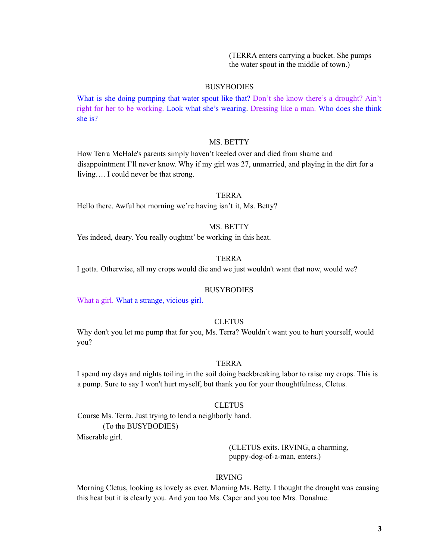(TERRA enters carrying a bucket. She pumps the water spout in the middle of town.)

#### **BUSYBODIES**

What is she doing pumping that water spout like that? Don't she know there's a drought? Ain't right for her to be working. Look what she's wearing. Dressing like a man. Who does she think she is?

#### MS. BETTY

How Terra McHale's parents simply haven't keeled over and died from shame and disappointment I'll never know. Why if my girl was 27, unmarried, and playing in the dirt for a living…. I could never be that strong.

## **TERRA**

Hello there. Awful hot morning we're having isn't it, Ms. Betty?

## MS. BETTY

Yes indeed, deary. You really oughtnt' be working in this heat.

## TERRA

I gotta. Otherwise, all my crops would die and we just wouldn't want that now, would we?

#### BUSYBODIES

What a girl. What a strange, vicious girl.

#### **CLETUS**

Why don't you let me pump that for you, Ms. Terra? Wouldn't want you to hurt yourself, would you?

## TERRA

I spend my days and nights toiling in the soil doing backbreaking labor to raise my crops. This is a pump. Sure to say I won't hurt myself, but thank you for your thoughtfulness, Cletus.

#### **CLETUS**

Course Ms. Terra. Just trying to lend a neighborly hand. (To the BUSYBODIES)

Miserable girl.

(CLETUS exits. IRVING, a charming, puppy-dog-of-a-man, enters.)

#### IRVING

Morning Cletus, looking as lovely as ever. Morning Ms. Betty. I thought the drought was causing this heat but it is clearly you. And you too Ms. Caper and you too Mrs. Donahue.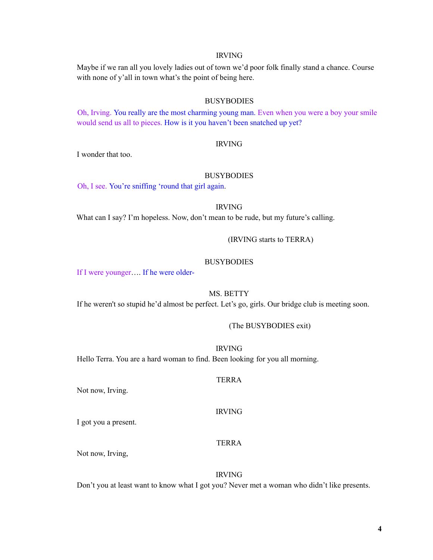## IRVING

Maybe if we ran all you lovely ladies out of town we'd poor folk finally stand a chance. Course with none of y'all in town what's the point of being here.

## BUSYBODIES

Oh, Irving. You really are the most charming young man. Even when you were a boy your smile would send us all to pieces. How is it you haven't been snatched up yet?

#### IRVING

I wonder that too.

#### BUSYBODIES

Oh, I see. You're sniffing 'round that girl again.

#### IRVING

What can I say? I'm hopeless. Now, don't mean to be rude, but my future's calling.

## (IRVING starts to TERRA)

## **BUSYBODIES**

If I were younger…. If he were older-

#### MS. BETTY

If he weren't so stupid he'd almost be perfect. Let's go, girls. Our bridge club is meeting soon.

#### (The BUSYBODIES exit)

IRVING

Hello Terra. You are a hard woman to find. Been looking for you all morning.

#### TERRA

Not now, Irving.

#### IRVING

I got you a present.

## TERRA

Not now, Irving,

#### IRVING

Don't you at least want to know what I got you? Never met a woman who didn't like presents.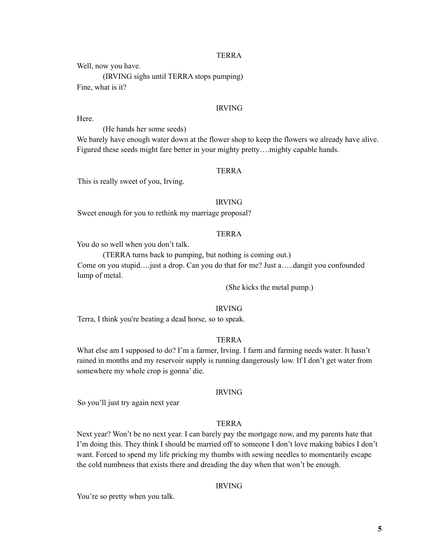Well, now you have.

(IRVING sighs until TERRA stops pumping) Fine, what is it?

## IRVING

Here.

(He hands her some seeds)

We barely have enough water down at the flower shop to keep the flowers we already have alive. Figured these seeds might fare better in your mighty pretty....mighty capable hands.

## TERRA

This is really sweet of you, Irving.

#### IRVING

Sweet enough for you to rethink my marriage proposal?

## TERRA

You do so well when you don't talk.

(TERRA turns back to pumping, but nothing is coming out.) Come on you stupid….just a drop. Can you do that for me? Just a…..dangit you confounded lump of metal.

(She kicks the metal pump.)

## IRVING

Terra, I think you're beating a dead horse, so to speak.

#### TERRA

What else am I supposed to do? I'm a farmer, Irving. I farm and farming needs water. It hasn't rained in months and my reservoir supply is running dangerously low. If I don't get water from somewhere my whole crop is gonna' die.

#### IRVING

So you'll just try again next year

## TERRA

Next year? Won't be no next year. I can barely pay the mortgage now, and my parents hate that I'm doing this. They think I should be married off to someone I don't love making babies I don't want. Forced to spend my life pricking my thumbs with sewing needles to momentarily escape the cold numbness that exists there and dreading the day when that won't be enough.

## IRVING

You're so pretty when you talk.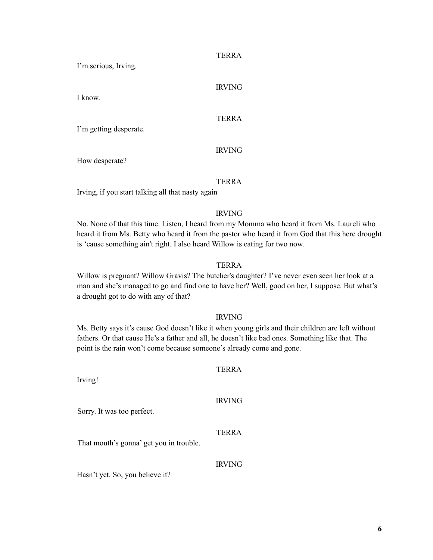I'm serious, Irving.

I know.

# IRVING

## TERRA

I'm getting desperate.

## IRVING

How desperate?

## TERRA

Irving, if you start talking all that nasty again

## IRVING

No. None of that this time. Listen, I heard from my Momma who heard it from Ms. Laureli who heard it from Ms. Betty who heard it from the pastor who heard it from God that this here drought is 'cause something ain't right. I also heard Willow is eating for two now.

## TERRA

Willow is pregnant? Willow Gravis? The butcher's daughter? I've never even seen her look at a man and she's managed to go and find one to have her? Well, good on her, I suppose. But what's a drought got to do with any of that?

## IRVING

Ms. Betty says it's cause God doesn't like it when young girls and their children are left without fathers. Or that cause He's a father and all, he doesn't like bad ones. Something like that. The point is the rain won't come because someone's already come and gone.

## TERRA

Irving!

Sorry. It was too perfect.

TERRA

IRVING

That mouth's gonna' get you in trouble.

## IRVING

Hasn't yet. So, you believe it?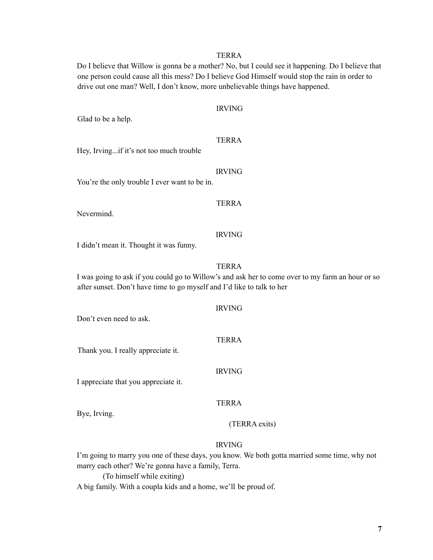Do I believe that Willow is gonna be a mother? No, but I could see it happening. Do I believe that one person could cause all this mess? Do I believe God Himself would stop the rain in order to drive out one man? Well, I don't know, more unbelievable things have happened.

|  |  | Glad to be a help. |  |
|--|--|--------------------|--|
|  |  |                    |  |

IRVING

# TERRA

Hey, Irving...if it's not too much trouble

#### IRVING

You're the only trouble I ever want to be in.

## TERRA

Nevermind.

#### IRVING

I didn't mean it. Thought it was funny.

## TERRA

I was going to ask if you could go to Willow's and ask her to come over to my farm an hour or so after sunset. Don't have time to go myself and I'd like to talk to her

IRVING Don't even need to ask. TERRA Thank you. I really appreciate it. IRVING I appreciate that you appreciate it. TERRA Bye, Irving.

(TERRA exits)

## IRVING

I'm going to marry you one of these days, you know. We both gotta married some time, why not marry each other? We're gonna have a family, Terra.

(To himself while exiting)

A big family. With a coupla kids and a home, we'll be proud of.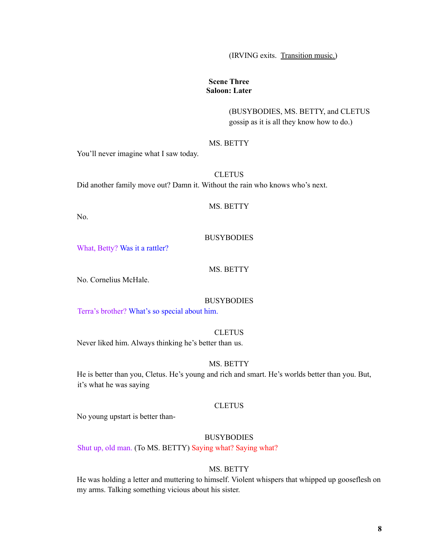(IRVING exits. Transition music.)

## **Scene Three Saloon: Later**

(BUSYBODIES, MS. BETTY, and CLETUS gossip as it is all they know how to do.)

## MS. BETTY

You'll never imagine what I saw today.

**CLETUS** Did another family move out? Damn it. Without the rain who knows who's next.

#### MS. BETTY

No.

## **BUSYBODIES**

What, Betty? Was it a rattler?

## MS. BETTY

No. Cornelius McHale.

## **BUSYBODIES**

Terra's brother? What's so special about him.

#### **CLETUS**

Never liked him. Always thinking he's better than us.

## MS. BETTY

He is better than you, Cletus. He's young and rich and smart. He's worlds better than you. But, it's what he was saying

## **CLETUS**

No young upstart is better than-

## **BUSYBODIES**

Shut up, old man. (To MS. BETTY) Saying what? Saying what?

## MS. BETTY

He was holding a letter and muttering to himself. Violent whispers that whipped up gooseflesh on my arms. Talking something vicious about his sister.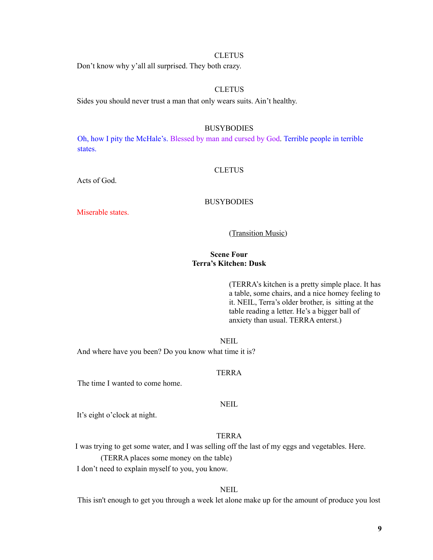## **CLETUS**

Don't know why y'all all surprised. They both crazy.

## **CLETUS**

Sides you should never trust a man that only wears suits. Ain't healthy.

#### BUSYBODIES

Oh, how I pity the McHale's. Blessed by man and cursed by God. Terrible people in terrible states.

#### CLETUS

Acts of God.

#### BUSYBODIES

Miserable states.

(Transition Music)

## **Scene Four Terra's Kitchen: Dusk**

(TERRA's kitchen is a pretty simple place. It has a table, some chairs, and a nice homey feeling to it. NEIL, Terra's older brother, is sitting at the table reading a letter. He's a bigger ball of anxiety than usual. TERRA enterst.)

**NEIL** 

And where have you been? Do you know what time it is?

## TERRA

The time I wanted to come home.

## **NEIL**

It's eight o'clock at night.

## TERRA

I was trying to get some water, and I was selling off the last of my eggs and vegetables. Here.

(TERRA places some money on the table)

I don't need to explain myself to you, you know.

## NEIL

This isn't enough to get you through a week let alone make up for the amount of produce you lost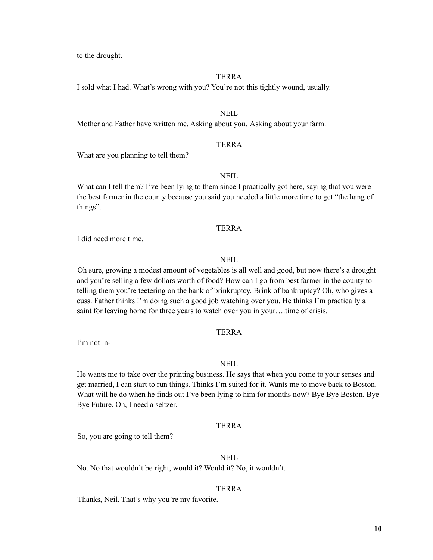to the drought.

#### **TERRA**

I sold what I had. What's wrong with you? You're not this tightly wound, usually.

## NEIL

Mother and Father have written me. Asking about you. Asking about your farm.

## TERRA

What are you planning to tell them?

## NEIL

What can I tell them? I've been lying to them since I practically got here, saying that you were the best farmer in the county because you said you needed a little more time to get "the hang of things".

#### **TERRA**

I did need more time.

#### **NEIL**

Oh sure, growing a modest amount of vegetables is all well and good, but now there's a drought and you're selling a few dollars worth of food? How can I go from best farmer in the county to telling them you're teetering on the bank of brinkruptcy. Brink of bankruptcy? Oh, who gives a cuss. Father thinks I'm doing such a good job watching over you. He thinks I'm practically a saint for leaving home for three years to watch over you in your….time of crisis.

## **TERRA**

I'm not in-

#### NEIL

He wants me to take over the printing business. He says that when you come to your senses and get married, I can start to run things. Thinks I'm suited for it. Wants me to move back to Boston. What will he do when he finds out I've been lying to him for months now? Bye Bye Boston. Bye Bye Future. Oh, I need a seltzer.

## **TERRA**

So, you are going to tell them?

## **NEIL**

No. No that wouldn't be right, would it? Would it? No, it wouldn't.

#### TERRA

Thanks, Neil. That's why you're my favorite.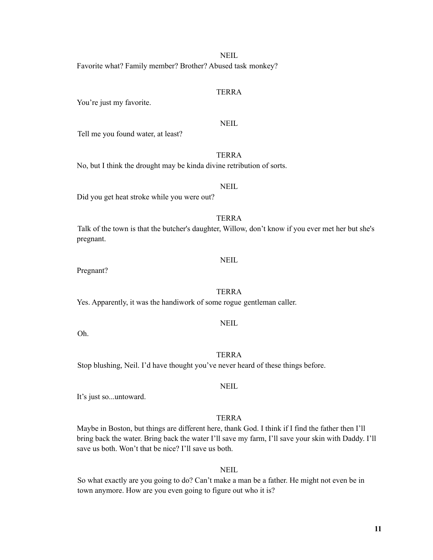#### NEIL

Favorite what? Family member? Brother? Abused task monkey?

## TERRA

You're just my favorite.

NEIL

Tell me you found water, at least?

## TERRA

No, but I think the drought may be kinda divine retribution of sorts.

## NEIL

Did you get heat stroke while you were out?

## TERRA

Talk of the town is that the butcher's daughter, Willow, don't know if you ever met her but she's pregnant.

## **NEIL**

Pregnant?

## TERRA

Yes. Apparently, it was the handiwork of some rogue gentleman caller.

## **NEIL**

Oh.

TERRA Stop blushing, Neil. I'd have thought you've never heard of these things before.

**NEIL** 

It's just so...untoward.

## TERRA

Maybe in Boston, but things are different here, thank God. I think if I find the father then I'll bring back the water. Bring back the water I'll save my farm, I'll save your skin with Daddy. I'll save us both. Won't that be nice? I'll save us both.

**NEIL** 

So what exactly are you going to do? Can't make a man be a father. He might not even be in town anymore. How are you even going to figure out who it is?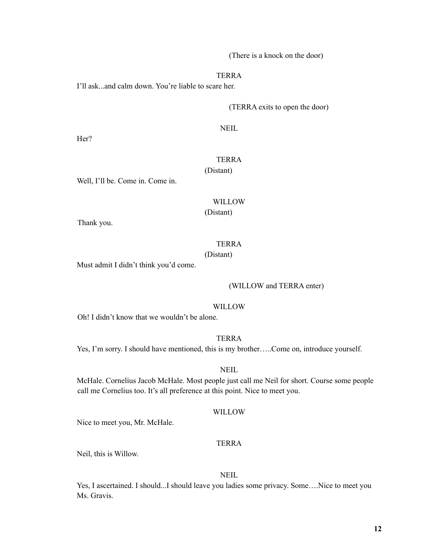(There is a knock on the door)

TERRA

I'll ask...and calm down. You're liable to scare her.

(TERRA exits to open the door)

NEIL

Her?

## TERRA (Distant)

Well, I'll be. Come in. Come in.

## WILLOW

(Distant)

Thank you.

#### TERRA

(Distant)

Must admit I didn't think you'd come.

#### (WILLOW and TERRA enter)

#### WILLOW

Oh! I didn't know that we wouldn't be alone.

TERRA

Yes, I'm sorry. I should have mentioned, this is my brother…..Come on, introduce yourself.

NEIL

McHale. Cornelius Jacob McHale. Most people just call me Neil for short. Course some people call me Cornelius too. It's all preference at this point. Nice to meet you.

## WILLOW

Nice to meet you, Mr. McHale.

## TERRA

Neil, this is Willow.

## NEIL

Yes, I ascertained. I should...I should leave you ladies some privacy. Some….Nice to meet you Ms. Gravis.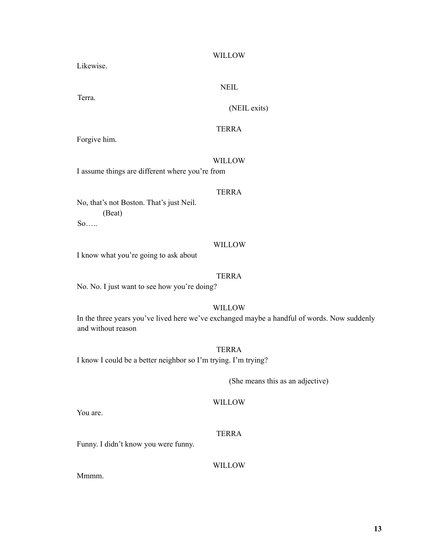## WILLOW

Likewise.

**NEIL** 

Terra.

# (NEIL exits)

## TERRA

Forgive him.

#### WILLOW

I assume things are different where you're from

## TERRA

No, that's not Boston. That's just Neil. (Beat)

So…..

## WILLOW

I know what you're going to ask about

## TERRA

## WILLOW

In the three years you've lived here we've exchanged maybe a handful of words. Now suddenly and without reason

## TERRA

I know I could be a better neighbor so I'm trying. I'm trying?

(She means this as an adjective)

## WILLOW

You are.

## TERRA

Funny. I didn't know you were funny.

WILLOW

Mmmm.

No. No. I just want to see how you're doing?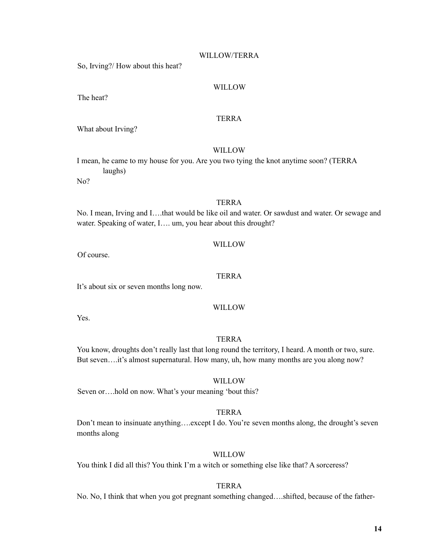## WILLOW/TERRA

So, Irving?/ How about this heat?

## WILLOW

The heat?

## TERRA

What about Irving?

## WILLOW

I mean, he came to my house for you. Are you two tying the knot anytime soon? (TERRA laughs)

No?

## TERRA

No. I mean, Irving and I….that would be like oil and water. Or sawdust and water. Or sewage and water. Speaking of water, I.... um, you hear about this drought?

## WILLOW

Of course.

## TERRA

It's about six or seven months long now.

## WILLOW

Yes.

## TERRA

You know, droughts don't really last that long round the territory, I heard. A month or two, sure. But seven....it's almost supernatural. How many, uh, how many months are you along now?

**WILLOW** 

Seven or….hold on now. What's your meaning 'bout this?

## TERRA

Don't mean to insinuate anything….except I do. You're seven months along, the drought's seven months along

## WILLOW

You think I did all this? You think I'm a witch or something else like that? A sorceress?

## TERRA

No. No, I think that when you got pregnant something changed….shifted, because of the father-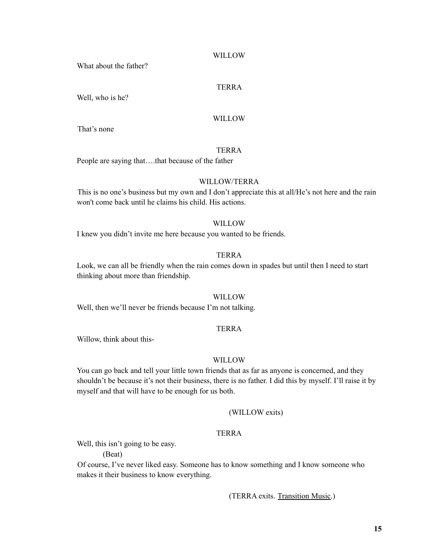#### WILLOW

What about the father?

## TERRA

Well, who is he?

#### WILLOW

That's none

## TERRA

People are saying that….that because of the father

#### WILLOW/TERRA

This is no one's business but my own and I don't appreciate this at all/He's not here and the rain won't come back until he claims his child. His actions.

## WILLOW

I knew you didn't invite me here because you wanted to be friends.

## TERRA

Look, we can all be friendly when the rain comes down in spades but until then I need to start thinking about more than friendship.

#### WILLOW

Well, then we'll never be friends because I'm not talking.

## TERRA

Willow, think about this-

#### WILLOW

You can go back and tell your little town friends that as far as anyone is concerned, and they shouldn't be because it's not their business, there is no father. I did this by myself. I'll raise it by myself and that will have to be enough for us both.

#### (WILLOW exits)

## TERRA

Well, this isn't going to be easy.

(Beat)

Of course, I've never liked easy. Someone has to know something and I know someone who makes it their business to know everything.

(TERRA exits. Transition Music.)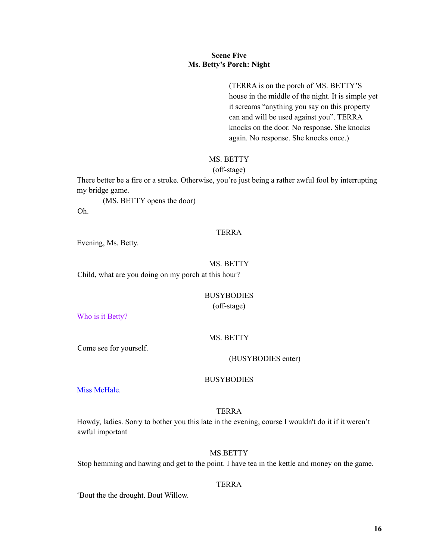## **Scene Five Ms. Betty's Porch: Night**

(TERRA is on the porch of MS. BETTY'S house in the middle of the night. It is simple yet it screams "anything you say on this property can and will be used against you". TERRA knocks on the door. No response. She knocks again. No response. She knocks once.)

## MS. BETTY

(off-stage)

There better be a fire or a stroke. Otherwise, you're just being a rather awful fool by interrupting my bridge game.

(MS. BETTY opens the door) Oh.

#### TERRA

Evening, Ms. Betty.

#### MS. BETTY

Child, what are you doing on my porch at this hour?

# BUSYBODIES

(off-stage)

Who is it Betty?

#### MS. BETTY

Come see for yourself.

(BUSYBODIES enter)

## **BUSYBODIES**

Miss McHale.

#### TERRA

Howdy, ladies. Sorry to bother you this late in the evening, course I wouldn't do it if it weren't awful important

## MS.BETTY

Stop hemming and hawing and get to the point. I have tea in the kettle and money on the game.

## TERRA

'Bout the the drought. Bout Willow.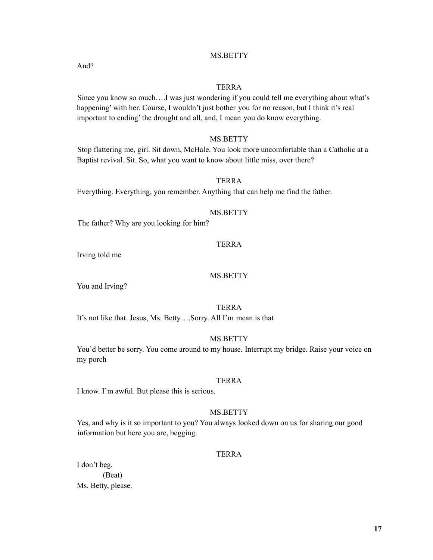## MS.BETTY

## TERRA

Since you know so much….I was just wondering if you could tell me everything about what's happening' with her. Course, I wouldn't just bother you for no reason, but I think it's real important to ending' the drought and all, and, I mean you do know everything.

## MS.BETTY

Stop flattering me, girl. Sit down, McHale. You look more uncomfortable than a Catholic at a Baptist revival. Sit. So, what you want to know about little miss, over there?

## TERRA

Everything. Everything, you remember. Anything that can help me find the father.

#### MS.BETTY

The father? Why are you looking for him?

#### TERRA

Irving told me

## MS.BETTY

You and Irving?

TERRA

It's not like that. Jesus, Ms. Betty….Sorry. All I'm mean is that

## MS.BETTY

You'd better be sorry. You come around to my house. Interrupt my bridge. Raise your voice on my porch

## TERRA

I know. I'm awful. But please this is serious.

## MS.BETTY

Yes, and why is it so important to you? You always looked down on us for sharing our good information but here you are, begging.

#### TERRA

I don't beg. (Beat) Ms. Betty, please.

And?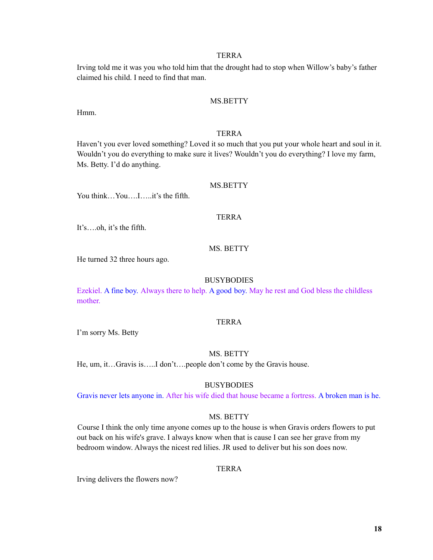Irving told me it was you who told him that the drought had to stop when Willow's baby's father claimed his child. I need to find that man.

## MS.BETTY

Hmm.

## TERRA

Haven't you ever loved something? Loved it so much that you put your whole heart and soul in it. Wouldn't you do everything to make sure it lives? Wouldn't you do everything? I love my farm, Ms. Betty. I'd do anything.

#### MS.BETTY

You think…You….I…..it's the fifth.

#### TERRA

It's….oh, it's the fifth.

## MS. BETTY

He turned 32 three hours ago.

#### **BUSYBODIES**

Ezekiel. A fine boy. Always there to help. A good boy. May he rest and God bless the childless mother.

#### TERRA

I'm sorry Ms. Betty

#### MS. BETTY

He, um, it…Gravis is…..I don't….people don't come by the Gravis house.

## **BUSYBODIES**

Gravis never lets anyone in. After his wife died that house became a fortress. A broken man is he.

## MS. BETTY

Course I think the only time anyone comes up to the house is when Gravis orders flowers to put out back on his wife's grave. I always know when that is cause I can see her grave from my bedroom window. Always the nicest red lilies. JR used to deliver but his son does now.

## TERRA

Irving delivers the flowers now?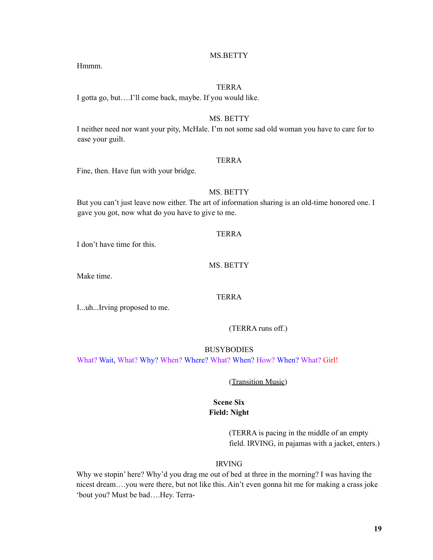## MS.BETTY

Hmmm.

## TERRA

I gotta go, but….I'll come back, maybe. If you would like.

## MS. BETTY

I neither need nor want your pity, McHale. I'm not some sad old woman you have to care for to ease your guilt.

## TERRA

Fine, then. Have fun with your bridge.

## MS. BETTY

But you can't just leave now either. The art of information sharing is an old-time honored one. I gave you got, now what do you have to give to me.

#### TERRA

I don't have time for this.

## MS. BETTY

Make time.

## TERRA

I...uh...Irving proposed to me.

(TERRA runs off.)

BUSYBODIES

What? Wait, What? Why? When? Where? What? When? How? When? What? Girl!

## (Transition Music)

## **Scene Six Field: Night**

(TERRA is pacing in the middle of an empty field. IRVING, in pajamas with a jacket, enters.)

#### IRVING

Why we stopin' here? Why'd you drag me out of bed at three in the morning? I was having the nicest dream….you were there, but not like this. Ain't even gonna hit me for making a crass joke 'bout you? Must be bad….Hey. Terra-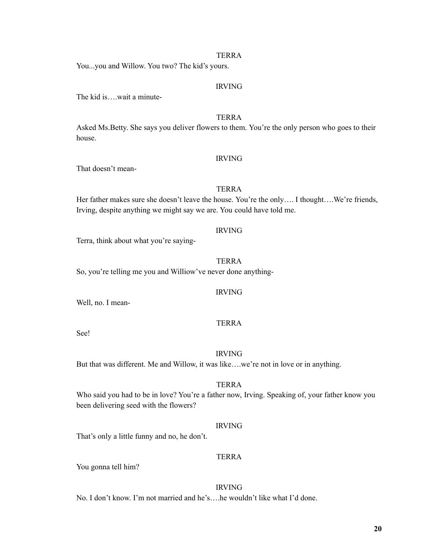You...you and Willow. You two? The kid's yours.

## IRVING

The kid is….wait a minute-

## TERRA

Asked Ms.Betty. She says you deliver flowers to them. You're the only person who goes to their house.

#### IRVING

That doesn't mean-

## TERRA

Her father makes sure she doesn't leave the house. You're the only.... I thought....We're friends, Irving, despite anything we might say we are. You could have told me.

#### IRVING

Terra, think about what you're saying-

#### TERRA

So, you're telling me you and Williow've never done anything-

## IRVING

Well, no. I mean-

## TERRA

See!

#### IRVING

But that was different. Me and Willow, it was like....we're not in love or in anything.

## TERRA

Who said you had to be in love? You're a father now, Irving. Speaking of, your father know you been delivering seed with the flowers?

#### IRVING

That's only a little funny and no, he don't.

## TERRA

You gonna tell him?

#### IRVING

No. I don't know. I'm not married and he's….he wouldn't like what I'd done.